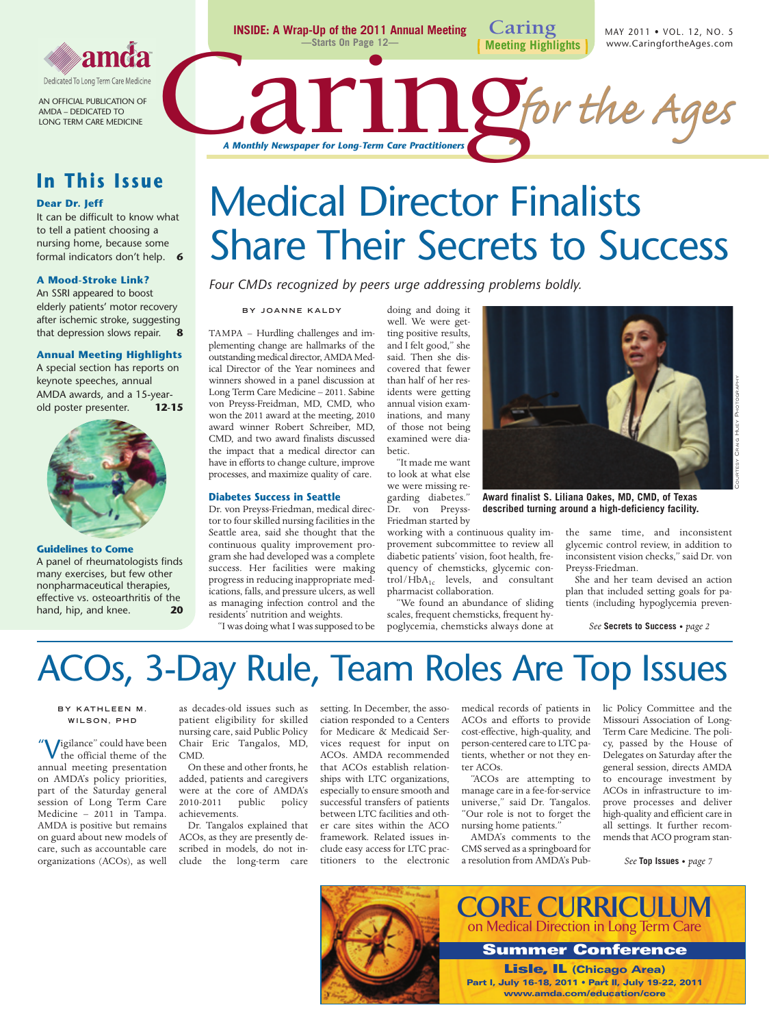

AN OFFICIAL PUBLICATION OF AMDA – DEDICATED TO LONG TERM CARE MEDICINE

### **In This Issue**

### **Dear Dr. Jeff**

It can be difficult to know what to tell a patient choosing a nursing home, because some formal indicators don't help. **6**

### **A Mood-Stroke Link?**

An SSRI appeared to boost elderly patients' motor recovery after ischemic stroke, suggesting that depression slows repair. **8**

#### **Annual Meeting Highlights**

A special section has reports on keynote speeches, annual AMDA awards, and a 15-yearold poster presenter. **12-15**



### **Guidelines to Come**

A panel of rheumatologists finds many exercises, but few other nonpharmaceutical therapies, effective vs. osteoarthritis of the<br>hand hin and knee  $\overline{20}$ hand, hip, and knee.



# Medical Director Finalists Share Their Secrets to Success

**Caring**

**Meeting Highlights**

*Four CMDs recognized by peers urge addressing problems boldly.*

**INSIDE: A Wrap-Up of the 2011 Annual Meeting —Starts On Page 12—**

**BY JOANNE KALDY**

TAMPA – Hurdling challenges and implementing change are hallmarks of the outstanding medical director, AMDA Medical Director of the Year nominees and winners showed in a panel discussion at Long Term Care Medicine – 2011. Sabine von Preyss-Freidman, MD, CMD, who won the 2011 award at the meeting, 2010 award winner Robert Schreiber, MD, CMD, and two award finalists discussed the impact that a medical director can have in efforts to change culture, improve processes, and maximize quality of care.

### **Diabetes Success in Seattle**

Dr. von Preyss-Friedman, medical director to four skilled nursing facilities in the Seattle area, said she thought that the continuous quality improvement program she had developed was a complete success. Her facilities were making progress in reducing inappropriate medications, falls, and pressure ulcers, as well as managing infection control and the residents' nutrition and weights.

"I was doing what I was supposed to be

doing and doing it well. We were getting positive results, and I felt good," she said. Then she discovered that fewer than half of her residents were getting annual vision examinations, and many of those not being examined were diabetic.

"It made me want to look at what else we were missing regarding diabetes." Dr. von Preyss-

Friedman started by

working with a continuous quality improvement subcommittee to review all diabetic patients' vision, foot health, frequency of chemsticks, glycemic con- $\mbox{trol}/\mbox{HbA}_{1c}$  levels, and consultant pharmacist collaboration.

"We found an abundance of sliding scales, frequent chemsticks, frequent hypoglycemia, chemsticks always done at



**Award finalist S. Liliana Oakes, MD, CMD, of Texas described turning around a high-deficiency facility.**

the same time, and inconsistent glycemic control review, in addition to inconsistent vision checks," said Dr. von Preyss-Friedman.

MAY 2011 • VOL. 12, NO. 5 www.CaringfortheAges.com

She and her team devised an action plan that included setting goals for patients (including hypoglycemia preven-

*See* **Secrets to Success •** *page 2*

## ACOs, 3-Day Rule, Team Roles Are Top Issues

### **BY KATHLEEN M . WILSON, PHD**

" Vigilance" could have been the official theme of the annual meeting presentation on AMDA's policy priorities, part of the Saturday general session of Long Term Care Medicine – 2011 in Tampa. AMDA is positive but remains on guard about new models of care, such as accountable care organizations (ACOs), as well

as decades-old issues such as patient eligibility for skilled nursing care, said Public Policy Chair Eric Tangalos, MD, CMD.

On these and other fronts, he added, patients and caregivers were at the core of AMDA's<br>2010-2011 public policy public achievements.

Dr. Tangalos explained that ACOs, as they are presently described in models, do not include the long-term care setting. In December, the association responded to a Centers for Medicare & Medicaid Services request for input on ACOs. AMDA recommended that ACOs establish relationships with LTC organizations, especially to ensure smooth and successful transfers of patients between LTC facilities and other care sites within the ACO framework. Related issues include easy access for LTC practitioners to the electronic medical records of patients in ACOs and efforts to provide cost-effective, high-quality, and person-centered care to LTC patients, whether or not they enter ACOs.

"ACOs are attempting to manage care in a fee-for-service universe," said Dr. Tangalos. "Our role is not to forget the nursing home patients."

AMDA's comments to the CMS served as a springboard for a resolution from AMDA's Public Policy Committee and the Missouri Association of Long-Term Care Medicine. The policy, passed by the House of Delegates on Saturday after the general session, directs AMDA to encourage investment by ACOs in infrastructure to improve processes and deliver high-quality and efficient care in all settings. It further recommends that ACO program stan-

*See* **Top Issues •** *page 7*